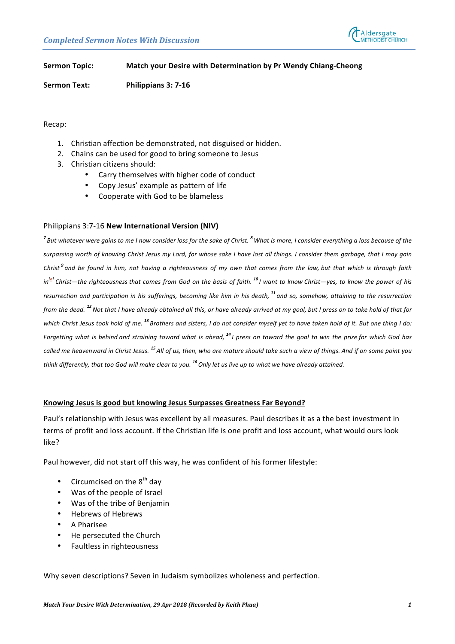

**Sermon Topic: Match your Desire with Determination by Pr Wendy Chiang-Cheong** 

**Sermon Text: Philippians 3: 7-16** 

Recap:

- 1. Christian affection be demonstrated, not disguised or hidden.
- 2. Chains can be used for good to bring someone to Jesus
- 3. Christian citizens should:
	- Carry themselves with higher code of conduct
	- Copy Jesus' example as pattern of life
	- Cooperate with God to be blameless

### Philippians 3:7-16 New International Version (NIV)

<sup>7</sup> But whatever were gains to me I now consider loss for the sake of Christ. <sup>8</sup> What is more, I consider everything a loss because of the surpassing worth of knowing Christ Jesus my Lord, for whose sake I have lost all things. I consider them garbage, that I may gain Christ<sup>9</sup> and be found in him, not having a righteousness of my own that comes from the law, but that which is through faith *in[\[a](https://www.biblegateway.com/passage/?search=Philippians+3%3A7-16&version=NIV#fen-NIV-29431a)] Christ—the righteousness that comes from God on the basis of faith. <sup>10</sup> I want to know Christ—yes, to know the power of his*  resurrection and participation in his sufferings, becoming like him in his death, <sup>11</sup> and so, somehow, attaining to the resurrection *from* the dead. <sup>12</sup> Not that I have already obtained all this, or have already arrived at my goal, but I press on to take hold of that for which Christ Jesus took hold of me. <sup>13</sup> Brothers and sisters, I do not consider myself yet to have taken hold of it. But one thing I do: *Forgetting* what is behind and straining toward what is ahead, <sup>14</sup> I press on toward the goal to win the prize for which God has called me heavenward in Christ Jesus. <sup>15</sup> All of us, then, who are mature should take such a view of things. And if on some point you *think* differently, that too God will make clear to you. <sup>16</sup> Only let us live up to what we have already attained.

#### Knowing Jesus is good but knowing Jesus Surpasses Greatness Far Beyond?

Paul's relationship with Jesus was excellent by all measures. Paul describes it as a the best investment in terms of profit and loss account. If the Christian life is one profit and loss account, what would ours look like?

Paul however, did not start off this way, he was confident of his former lifestyle:

- Circumcised on the  $8<sup>th</sup>$  day
- Was of the people of Israel
- Was of the tribe of Benjamin
- Hebrews of Hebrews
- A Pharisee
- He persecuted the Church
- Faultless in righteousness

Why seven descriptions? Seven in Judaism symbolizes wholeness and perfection.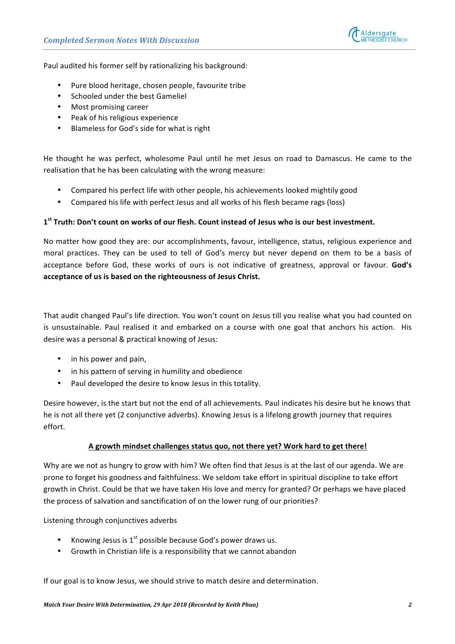

Paul audited his former self by rationalizing his background:

- Pure blood heritage, chosen people, favourite tribe
- Schooled under the best Gameliel
- Most promising career
- Peak of his religious experience
- Blameless for God's side for what is right

He thought he was perfect, wholesome Paul until he met Jesus on road to Damascus. He came to the realisation that he has been calculating with the wrong measure:

- Compared his perfect life with other people, his achievements looked mightily good
- Compared his life with perfect Jesus and all works of his flesh became rags (loss)

## 1<sup>st</sup> Truth: Don't count on works of our flesh. Count instead of Jesus who is our best investment.

No matter how good they are: our accomplishments, favour, intelligence, status, religious experience and moral practices. They can be used to tell of God's mercy but never depend on them to be a basis of acceptance before God, these works of ours is not indicative of greatness, approval or favour. God's acceptance of us is based on the righteousness of Jesus Christ.

That audit changed Paul's life direction. You won't count on Jesus till you realise what you had counted on is unsustainable. Paul realised it and embarked on a course with one goal that anchors his action. His desire was a personal & practical knowing of Jesus:

- in his power and pain,
- in his pattern of serving in humility and obedience
- Paul developed the desire to know Jesus in this totality.

Desire however, is the start but not the end of all achievements. Paul indicates his desire but he knows that he is not all there yet (2 conjunctive adverbs). Knowing Jesus is a lifelong growth journey that requires effort.

#### A growth mindset challenges status quo, not there yet? Work hard to get there!

Why are we not as hungry to grow with him? We often find that Jesus is at the last of our agenda. We are prone to forget his goodness and faithfulness. We seldom take effort in spiritual discipline to take effort growth in Christ. Could be that we have taken His love and mercy for granted? Or perhaps we have placed the process of salvation and sanctification of on the lower rung of our priorities?

Listening through conjunctives adverbs

- Knowing Jesus is  $1<sup>st</sup>$  possible because God's power draws us.
- Growth in Christian life is a responsibility that we cannot abandon

If our goal is to know Jesus, we should strive to match desire and determination.